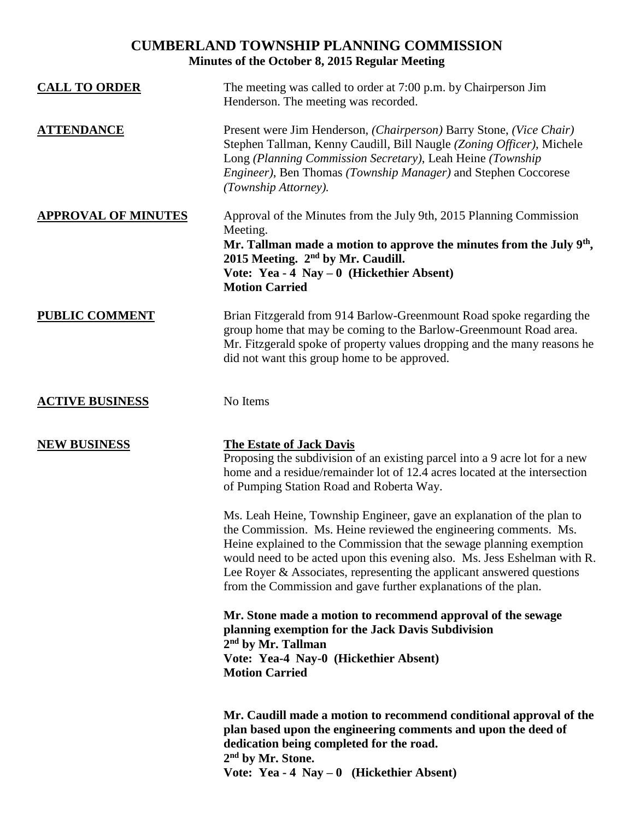# **CUMBERLAND TOWNSHIP PLANNING COMMISSION Minutes of the October 8, 2015 Regular Meeting**

| <b>CALL TO ORDER</b>       | The meeting was called to order at 7:00 p.m. by Chairperson Jim<br>Henderson. The meeting was recorded.                                                                                                                                                                                                                                                                                                                                  |
|----------------------------|------------------------------------------------------------------------------------------------------------------------------------------------------------------------------------------------------------------------------------------------------------------------------------------------------------------------------------------------------------------------------------------------------------------------------------------|
| <b>ATTENDANCE</b>          | Present were Jim Henderson, (Chairperson) Barry Stone, (Vice Chair)<br>Stephen Tallman, Kenny Caudill, Bill Naugle (Zoning Officer), Michele<br>Long (Planning Commission Secretary), Leah Heine (Township<br>Engineer), Ben Thomas (Township Manager) and Stephen Coccorese<br>(Township Attorney).                                                                                                                                     |
| <b>APPROVAL OF MINUTES</b> | Approval of the Minutes from the July 9th, 2015 Planning Commission<br>Meeting.<br>Mr. Tallman made a motion to approve the minutes from the July $9th$ ,<br>2015 Meeting. 2 <sup>nd</sup> by Mr. Caudill.<br>Vote: Yea - $4$ Nay $-0$ (Hickethier Absent)<br><b>Motion Carried</b>                                                                                                                                                      |
| <b>PUBLIC COMMENT</b>      | Brian Fitzgerald from 914 Barlow-Greenmount Road spoke regarding the<br>group home that may be coming to the Barlow-Greenmount Road area.<br>Mr. Fitzgerald spoke of property values dropping and the many reasons he<br>did not want this group home to be approved.                                                                                                                                                                    |
| <b>ACTIVE BUSINESS</b>     | No Items                                                                                                                                                                                                                                                                                                                                                                                                                                 |
| <b>NEW BUSINESS</b>        | <b>The Estate of Jack Davis</b><br>Proposing the subdivision of an existing parcel into a 9 acre lot for a new<br>home and a residue/remainder lot of 12.4 acres located at the intersection<br>of Pumping Station Road and Roberta Way.                                                                                                                                                                                                 |
|                            | Ms. Leah Heine, Township Engineer, gave an explanation of the plan to<br>the Commission. Ms. Heine reviewed the engineering comments. Ms.<br>Heine explained to the Commission that the sewage planning exemption<br>would need to be acted upon this evening also. Ms. Jess Eshelman with R.<br>Lee Royer & Associates, representing the applicant answered questions<br>from the Commission and gave further explanations of the plan. |
|                            | Mr. Stone made a motion to recommend approval of the sewage<br>planning exemption for the Jack Davis Subdivision<br>$2nd$ by Mr. Tallman<br>Vote: Yea-4 Nay-0 (Hickethier Absent)<br><b>Motion Carried</b>                                                                                                                                                                                                                               |
|                            | Mr. Caudill made a motion to recommend conditional approval of the<br>plan based upon the engineering comments and upon the deed of<br>dedication being completed for the road.<br>2 <sup>nd</sup> by Mr. Stone.<br>Vote: Yea - 4 Nay $-0$ (Hickethier Absent)                                                                                                                                                                           |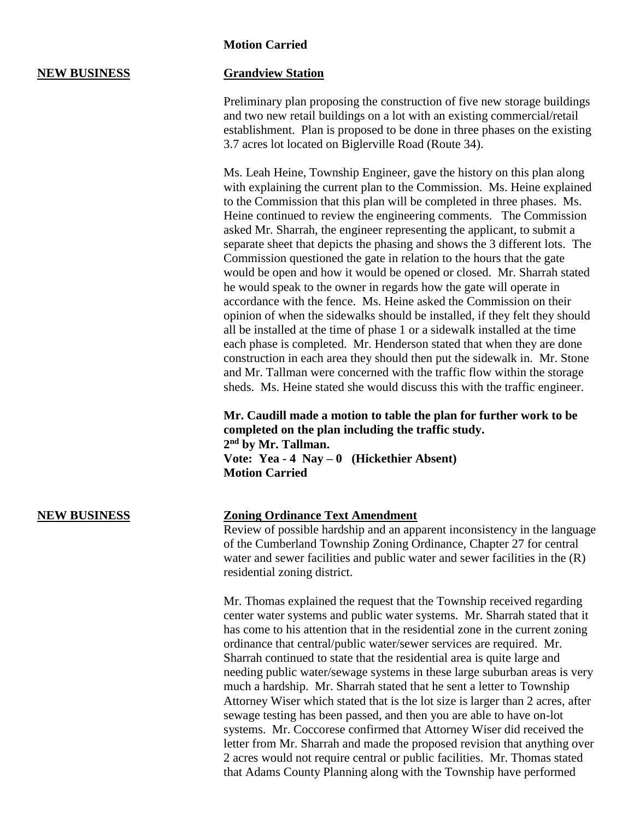### **Motion Carried**

## **NEW BUSINESS Grandview Station**

Preliminary plan proposing the construction of five new storage buildings and two new retail buildings on a lot with an existing commercial/retail establishment. Plan is proposed to be done in three phases on the existing 3.7 acres lot located on Biglerville Road (Route 34).

Ms. Leah Heine, Township Engineer, gave the history on this plan along with explaining the current plan to the Commission. Ms. Heine explained to the Commission that this plan will be completed in three phases. Ms. Heine continued to review the engineering comments. The Commission asked Mr. Sharrah, the engineer representing the applicant, to submit a separate sheet that depicts the phasing and shows the 3 different lots. The Commission questioned the gate in relation to the hours that the gate would be open and how it would be opened or closed. Mr. Sharrah stated he would speak to the owner in regards how the gate will operate in accordance with the fence. Ms. Heine asked the Commission on their opinion of when the sidewalks should be installed, if they felt they should all be installed at the time of phase 1 or a sidewalk installed at the time each phase is completed. Mr. Henderson stated that when they are done construction in each area they should then put the sidewalk in. Mr. Stone and Mr. Tallman were concerned with the traffic flow within the storage sheds. Ms. Heine stated she would discuss this with the traffic engineer.

**Mr. Caudill made a motion to table the plan for further work to be completed on the plan including the traffic study. 2 nd by Mr. Tallman. Vote: Yea - 4 Nay – 0 (Hickethier Absent) Motion Carried**

### **NEW BUSINESS Zoning Ordinance Text Amendment**

Review of possible hardship and an apparent inconsistency in the language of the Cumberland Township Zoning Ordinance, Chapter 27 for central water and sewer facilities and public water and sewer facilities in the  $(R)$ residential zoning district.

Mr. Thomas explained the request that the Township received regarding center water systems and public water systems. Mr. Sharrah stated that it has come to his attention that in the residential zone in the current zoning ordinance that central/public water/sewer services are required. Mr. Sharrah continued to state that the residential area is quite large and needing public water/sewage systems in these large suburban areas is very much a hardship. Mr. Sharrah stated that he sent a letter to Township Attorney Wiser which stated that is the lot size is larger than 2 acres, after sewage testing has been passed, and then you are able to have on-lot systems. Mr. Coccorese confirmed that Attorney Wiser did received the letter from Mr. Sharrah and made the proposed revision that anything over 2 acres would not require central or public facilities. Mr. Thomas stated that Adams County Planning along with the Township have performed